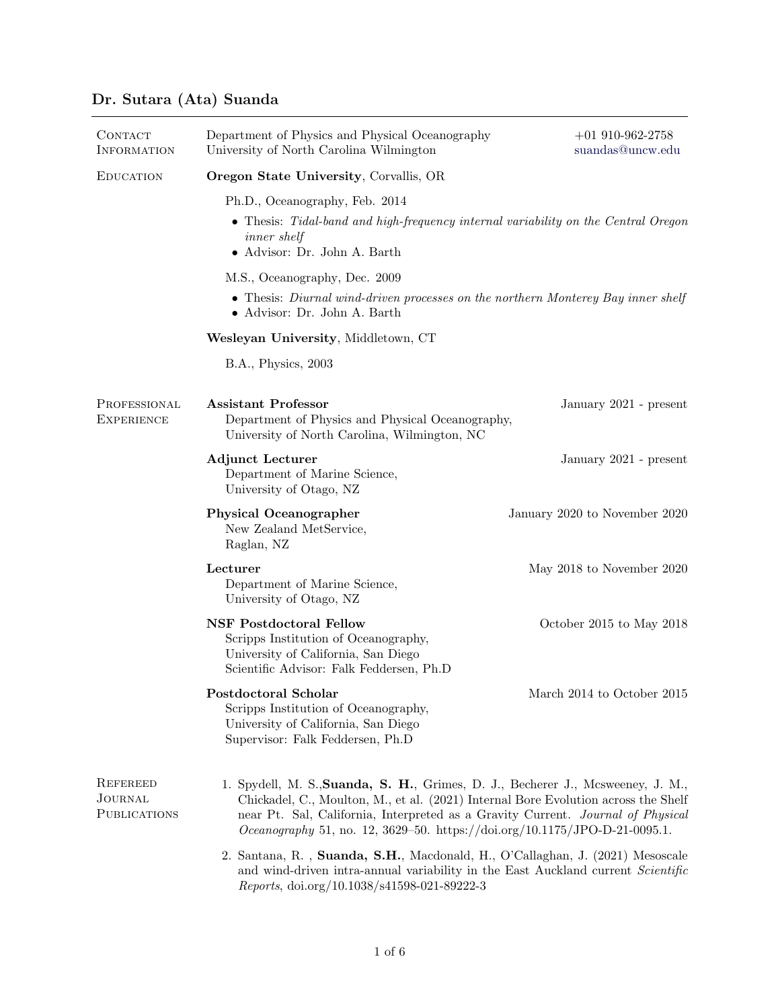## Dr. Sutara (Ata) Suanda

| <b>CONTACT</b><br><b>INFORMATION</b>              | Department of Physics and Physical Oceanography<br>University of North Carolina Wilmington                                                                                                                                                                                                                                                    | $+01$ 910-962-2758<br>$\rm suandas@uncw.edu$ |  |  |
|---------------------------------------------------|-----------------------------------------------------------------------------------------------------------------------------------------------------------------------------------------------------------------------------------------------------------------------------------------------------------------------------------------------|----------------------------------------------|--|--|
| <b>EDUCATION</b>                                  | <b>Oregon State University, Corvallis, OR</b>                                                                                                                                                                                                                                                                                                 |                                              |  |  |
|                                                   | Ph.D., Oceanography, Feb. 2014                                                                                                                                                                                                                                                                                                                |                                              |  |  |
|                                                   | • Thesis: Tidal-band and high-frequency internal variability on the Central Oregon<br><i>inner</i> shelf<br>· Advisor: Dr. John A. Barth                                                                                                                                                                                                      |                                              |  |  |
|                                                   | M.S., Oceanography, Dec. 2009                                                                                                                                                                                                                                                                                                                 |                                              |  |  |
|                                                   | • Thesis: Diurnal wind-driven processes on the northern Monterey Bay inner shelf<br>• Advisor: Dr. John A. Barth                                                                                                                                                                                                                              |                                              |  |  |
|                                                   | Wesleyan University, Middletown, CT                                                                                                                                                                                                                                                                                                           |                                              |  |  |
|                                                   | B.A., Physics, 2003                                                                                                                                                                                                                                                                                                                           |                                              |  |  |
| PROFESSIONAL<br><b>EXPERIENCE</b>                 | <b>Assistant Professor</b><br>Department of Physics and Physical Oceanography,<br>University of North Carolina, Wilmington, NC                                                                                                                                                                                                                | January 2021 - present                       |  |  |
|                                                   | <b>Adjunct Lecturer</b><br>Department of Marine Science,<br>University of Otago, NZ                                                                                                                                                                                                                                                           | January 2021 - present                       |  |  |
|                                                   | <b>Physical Oceanographer</b><br>New Zealand MetService,<br>Raglan, NZ                                                                                                                                                                                                                                                                        | January 2020 to November 2020                |  |  |
|                                                   | Lecturer<br>Department of Marine Science,<br>University of Otago, NZ                                                                                                                                                                                                                                                                          | May 2018 to November 2020                    |  |  |
|                                                   | <b>NSF Postdoctoral Fellow</b><br>Scripps Institution of Oceanography,<br>University of California, San Diego<br>Scientific Advisor: Falk Feddersen, Ph.D                                                                                                                                                                                     | October 2015 to May 2018                     |  |  |
|                                                   | Postdoctoral Scholar<br>Scripps Institution of Oceanography,<br>University of California, San Diego<br>Supervisor: Falk Feddersen, Ph.D                                                                                                                                                                                                       | March 2014 to October 2015                   |  |  |
| REFEREED<br><b>JOURNAL</b><br><b>PUBLICATIONS</b> | 1. Spydell, M. S., Suanda, S. H., Grimes, D. J., Becherer J., Mcsweeney, J. M.,<br>Chickadel, C., Moulton, M., et al. (2021) Internal Bore Evolution across the Shelf<br>near Pt. Sal, California, Interpreted as a Gravity Current. Journal of Physical<br><i>Oceanography</i> 51, no. 12, 3629-50. https://doi.org/10.1175/JPO-D-21-0095.1. |                                              |  |  |
|                                                   | 2. Santana, R., Suanda, S.H., Macdonald, H., O'Callaghan, J. (2021) Mesoscale<br>and wind-driven intra-annual variability in the East Auckland current Scientific<br>Reports, doi.org/10.1038/s41598-021-89222-3                                                                                                                              |                                              |  |  |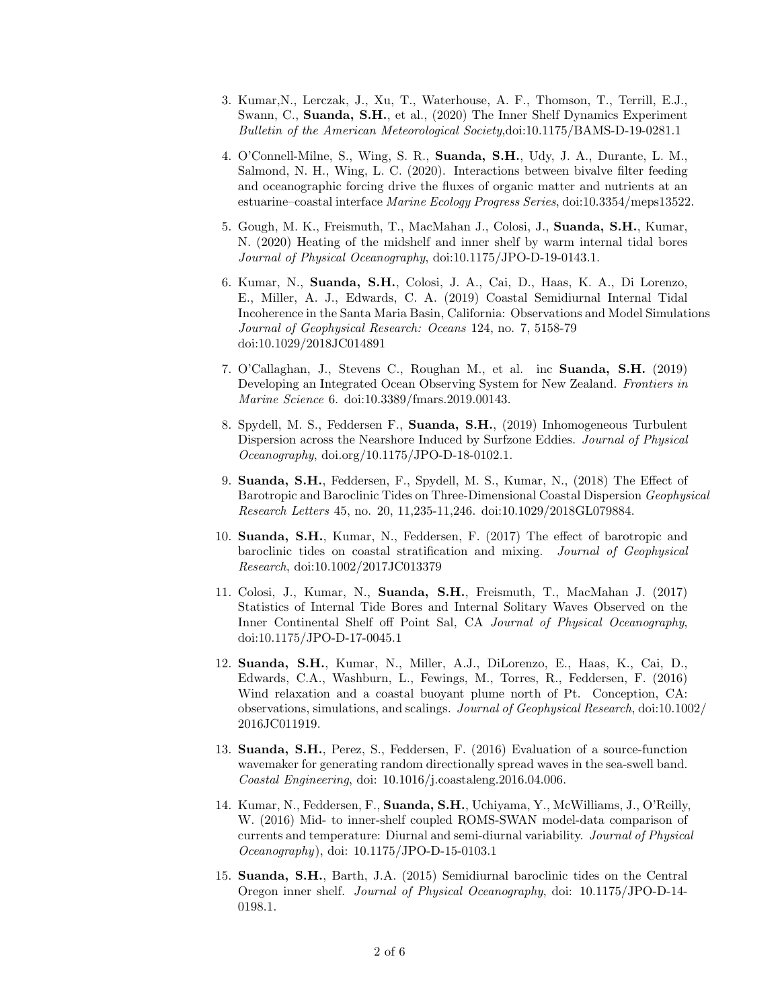- 3. Kumar,N., Lerczak, J., Xu, T., Waterhouse, A. F., Thomson, T., Terrill, E.J., Swann, C., Suanda, S.H., et al., (2020) The Inner Shelf Dynamics Experiment Bulletin of the American Meteorological Society,doi:10.1175/BAMS-D-19-0281.1
- 4. O'Connell-Milne, S., Wing, S. R., Suanda, S.H., Udy, J. A., Durante, L. M., Salmond, N. H., Wing, L. C. (2020). Interactions between bivalve filter feeding and oceanographic forcing drive the fluxes of organic matter and nutrients at an estuarine–coastal interface Marine Ecology Progress Series, doi:10.3354/meps13522.
- 5. Gough, M. K., Freismuth, T., MacMahan J., Colosi, J., Suanda, S.H., Kumar, N. (2020) Heating of the midshelf and inner shelf by warm internal tidal bores Journal of Physical Oceanography, doi:10.1175/JPO-D-19-0143.1.
- 6. Kumar, N., Suanda, S.H., Colosi, J. A., Cai, D., Haas, K. A., Di Lorenzo, E., Miller, A. J., Edwards, C. A. (2019) Coastal Semidiurnal Internal Tidal Incoherence in the Santa Maria Basin, California: Observations and Model Simulations Journal of Geophysical Research: Oceans 124, no. 7, 5158-79 doi:10.1029/2018JC014891
- 7. O'Callaghan, J., Stevens C., Roughan M., et al. inc Suanda, S.H. (2019) Developing an Integrated Ocean Observing System for New Zealand. Frontiers in Marine Science 6. doi:10.3389/fmars.2019.00143.
- 8. Spydell, M. S., Feddersen F., Suanda, S.H., (2019) Inhomogeneous Turbulent Dispersion across the Nearshore Induced by Surfzone Eddies. Journal of Physical Oceanography, doi.org/10.1175/JPO-D-18-0102.1.
- 9. Suanda, S.H., Feddersen, F., Spydell, M. S., Kumar, N., (2018) The Effect of Barotropic and Baroclinic Tides on Three-Dimensional Coastal Dispersion Geophysical Research Letters 45, no. 20, 11,235-11,246. doi:10.1029/2018GL079884.
- 10. Suanda, S.H., Kumar, N., Feddersen, F. (2017) The effect of barotropic and baroclinic tides on coastal stratification and mixing. Journal of Geophysical Research, doi:10.1002/2017JC013379
- 11. Colosi, J., Kumar, N., Suanda, S.H., Freismuth, T., MacMahan J. (2017) Statistics of Internal Tide Bores and Internal Solitary Waves Observed on the Inner Continental Shelf off Point Sal, CA Journal of Physical Oceanography, doi:10.1175/JPO-D-17-0045.1
- 12. Suanda, S.H., Kumar, N., Miller, A.J., DiLorenzo, E., Haas, K., Cai, D., Edwards, C.A., Washburn, L., Fewings, M., Torres, R., Feddersen, F. (2016) Wind relaxation and a coastal buoyant plume north of Pt. Conception, CA: observations, simulations, and scalings. Journal of Geophysical Research, doi:10.1002/ 2016JC011919.
- 13. Suanda, S.H., Perez, S., Feddersen, F. (2016) Evaluation of a source-function wavemaker for generating random directionally spread waves in the sea-swell band. Coastal Engineering, doi: 10.1016/j.coastaleng.2016.04.006.
- 14. Kumar, N., Feddersen, F., Suanda, S.H., Uchiyama, Y., McWilliams, J., O'Reilly, W. (2016) Mid- to inner-shelf coupled ROMS-SWAN model-data comparison of currents and temperature: Diurnal and semi-diurnal variability. Journal of Physical Oceanography), doi: 10.1175/JPO-D-15-0103.1
- 15. Suanda, S.H., Barth, J.A. (2015) Semidiurnal baroclinic tides on the Central Oregon inner shelf. Journal of Physical Oceanography, doi: 10.1175/JPO-D-14- 0198.1.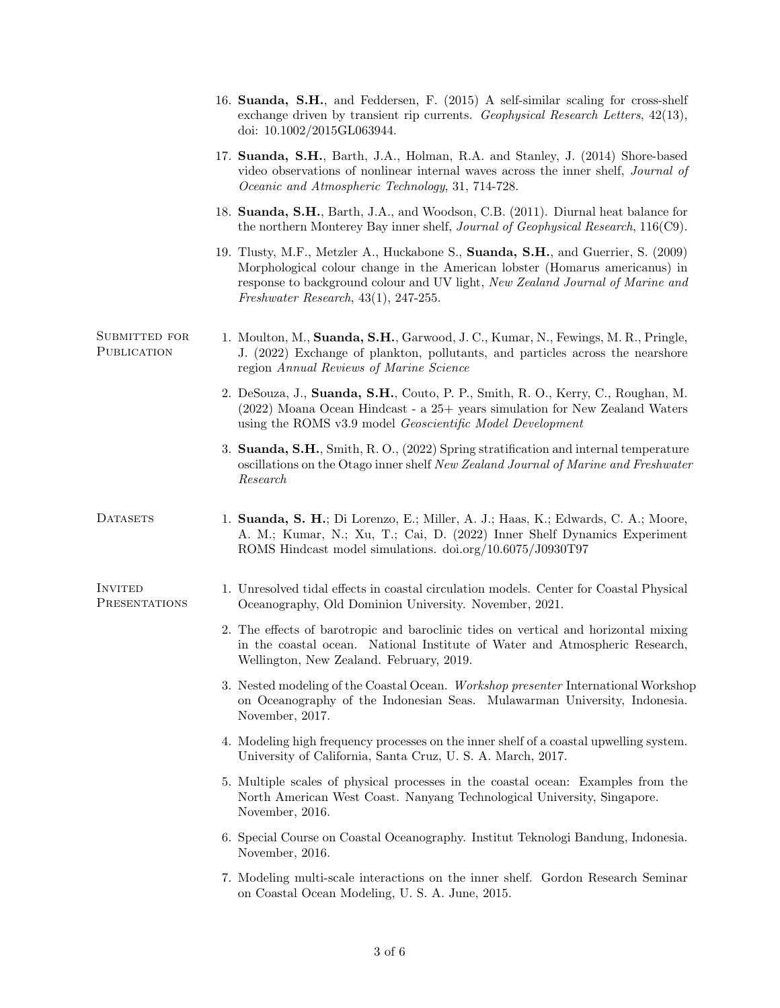|                                 | 16. Suanda, S.H., and Feddersen, F. (2015) A self-similar scaling for cross-shelf<br>exchange driven by transient rip currents. Geophysical Research Letters, $42(13)$ ,<br>doi: 10.1002/2015GL063944.                                                                                          |
|---------------------------------|-------------------------------------------------------------------------------------------------------------------------------------------------------------------------------------------------------------------------------------------------------------------------------------------------|
|                                 | 17. Suanda, S.H., Barth, J.A., Holman, R.A. and Stanley, J. (2014) Shore-based<br>video observations of nonlinear internal waves across the inner shelf, <i>Journal of</i><br>Oceanic and Atmospheric Technology, 31, 714-728.                                                                  |
|                                 | 18. Suanda, S.H., Barth, J.A., and Woodson, C.B. (2011). Diurnal heat balance for<br>the northern Monterey Bay inner shelf, <i>Journal of Geophysical Research</i> , 116(C9).                                                                                                                   |
|                                 | 19. Tlusty, M.F., Metzler A., Huckabone S., Suanda, S.H., and Guerrier, S. (2009)<br>Morphological colour change in the American lobster (Homarus americanus) in<br>response to background colour and UV light, New Zealand Journal of Marine and<br>Freshwater Research, $43(1)$ , $247-255$ . |
| SUBMITTED FOR<br>PUBLICATION    | 1. Moulton, M., Suanda, S.H., Garwood, J.C., Kumar, N., Fewings, M.R., Pringle,<br>J. (2022) Exchange of plankton, pollutants, and particles across the nearshore<br>region Annual Reviews of Marine Science                                                                                    |
|                                 | 2. DeSouza, J., Suanda, S.H., Couto, P. P., Smith, R. O., Kerry, C., Roughan, M.<br>(2022) Moana Ocean Hindcast - a 25+ years simulation for New Zealand Waters<br>using the ROMS v3.9 model Geoscientific Model Development                                                                    |
|                                 | 3. Suanda, S.H., Smith, R.O., (2022) Spring stratification and internal temperature<br>oscillations on the Otago inner shelf New Zealand Journal of Marine and Freshwater<br>Research                                                                                                           |
| <b>DATASETS</b>                 | 1. Suanda, S. H.; Di Lorenzo, E.; Miller, A. J.; Haas, K.; Edwards, C. A.; Moore,<br>A. M.; Kumar, N.; Xu, T.; Cai, D. (2022) Inner Shelf Dynamics Experiment<br>ROMS Hindcast model simulations. doi.org/10.6075/J0930T97                                                                      |
| <b>INVITED</b><br>PRESENTATIONS | 1. Unresolved tidal effects in coastal circulation models. Center for Coastal Physical<br>Oceanography, Old Dominion University. November, 2021.                                                                                                                                                |
|                                 | 2. The effects of barotropic and baroclinic tides on vertical and horizontal mixing<br>in the coastal ocean. National Institute of Water and Atmospheric Research,<br>Wellington, New Zealand. February, 2019.                                                                                  |
|                                 | 3. Nested modeling of the Coastal Ocean. Workshop presenter International Workshop<br>on Oceanography of the Indonesian Seas. Mulawarman University, Indonesia.<br>November, 2017.                                                                                                              |
|                                 | 4. Modeling high frequency processes on the inner shelf of a coastal upwelling system.<br>University of California, Santa Cruz, U.S. A. March, 2017.                                                                                                                                            |
|                                 | 5. Multiple scales of physical processes in the coastal ocean: Examples from the<br>North American West Coast. Nanyang Technological University, Singapore.<br>November, 2016.                                                                                                                  |
|                                 | 6. Special Course on Coastal Oceanography. Institut Teknologi Bandung, Indonesia.<br>November, 2016.                                                                                                                                                                                            |
|                                 | 7. Modeling multi-scale interactions on the inner shelf. Gordon Research Seminar<br>on Coastal Ocean Modeling, U.S. A. June, 2015.                                                                                                                                                              |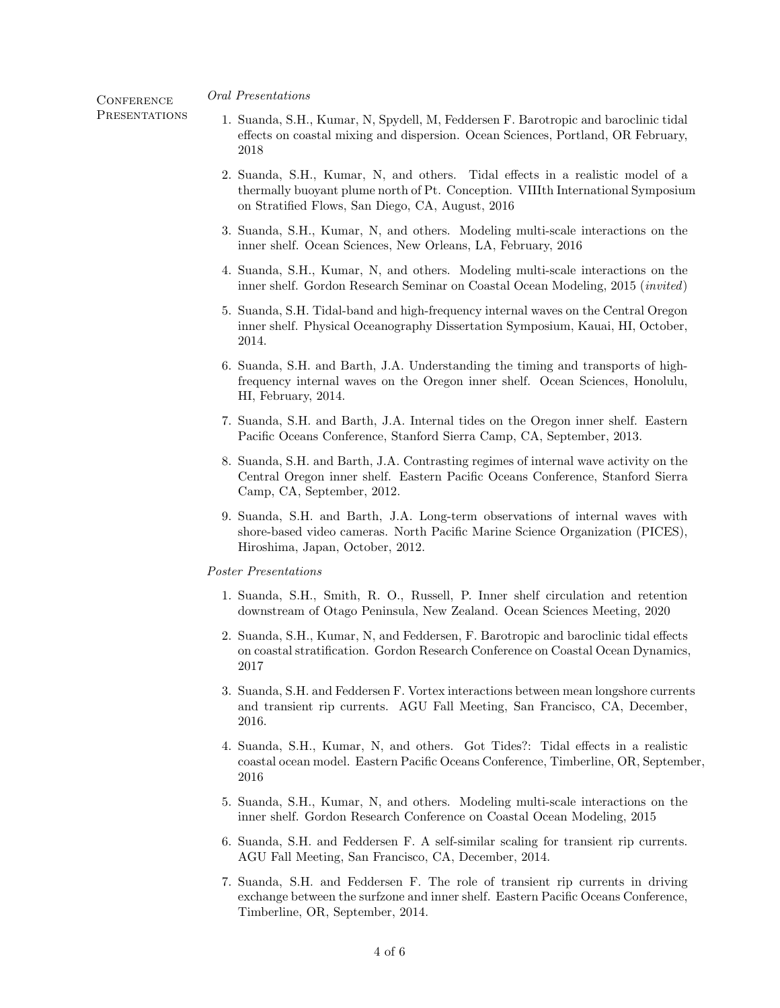Oral Presentations

**CONFERENCE PRESENTATIONS** 

- 1. Suanda, S.H., Kumar, N, Spydell, M, Feddersen F. Barotropic and baroclinic tidal effects on coastal mixing and dispersion. Ocean Sciences, Portland, OR February, 2018
- 2. Suanda, S.H., Kumar, N, and others. Tidal effects in a realistic model of a thermally buoyant plume north of Pt. Conception. VIIIth International Symposium on Stratified Flows, San Diego, CA, August, 2016
- 3. Suanda, S.H., Kumar, N, and others. Modeling multi-scale interactions on the inner shelf. Ocean Sciences, New Orleans, LA, February, 2016
- 4. Suanda, S.H., Kumar, N, and others. Modeling multi-scale interactions on the inner shelf. Gordon Research Seminar on Coastal Ocean Modeling, 2015 (invited)
- 5. Suanda, S.H. Tidal-band and high-frequency internal waves on the Central Oregon inner shelf. Physical Oceanography Dissertation Symposium, Kauai, HI, October, 2014.
- 6. Suanda, S.H. and Barth, J.A. Understanding the timing and transports of highfrequency internal waves on the Oregon inner shelf. Ocean Sciences, Honolulu, HI, February, 2014.
- 7. Suanda, S.H. and Barth, J.A. Internal tides on the Oregon inner shelf. Eastern Pacific Oceans Conference, Stanford Sierra Camp, CA, September, 2013.
- 8. Suanda, S.H. and Barth, J.A. Contrasting regimes of internal wave activity on the Central Oregon inner shelf. Eastern Pacific Oceans Conference, Stanford Sierra Camp, CA, September, 2012.
- 9. Suanda, S.H. and Barth, J.A. Long-term observations of internal waves with shore-based video cameras. North Pacific Marine Science Organization (PICES), Hiroshima, Japan, October, 2012.

## Poster Presentations

- 1. Suanda, S.H., Smith, R. O., Russell, P. Inner shelf circulation and retention downstream of Otago Peninsula, New Zealand. Ocean Sciences Meeting, 2020
- 2. Suanda, S.H., Kumar, N, and Feddersen, F. Barotropic and baroclinic tidal effects on coastal stratification. Gordon Research Conference on Coastal Ocean Dynamics, 2017
- 3. Suanda, S.H. and Feddersen F. Vortex interactions between mean longshore currents and transient rip currents. AGU Fall Meeting, San Francisco, CA, December, 2016.
- 4. Suanda, S.H., Kumar, N, and others. Got Tides?: Tidal effects in a realistic coastal ocean model. Eastern Pacific Oceans Conference, Timberline, OR, September, 2016
- 5. Suanda, S.H., Kumar, N, and others. Modeling multi-scale interactions on the inner shelf. Gordon Research Conference on Coastal Ocean Modeling, 2015
- 6. Suanda, S.H. and Feddersen F. A self-similar scaling for transient rip currents. AGU Fall Meeting, San Francisco, CA, December, 2014.
- 7. Suanda, S.H. and Feddersen F. The role of transient rip currents in driving exchange between the surfzone and inner shelf. Eastern Pacific Oceans Conference, Timberline, OR, September, 2014.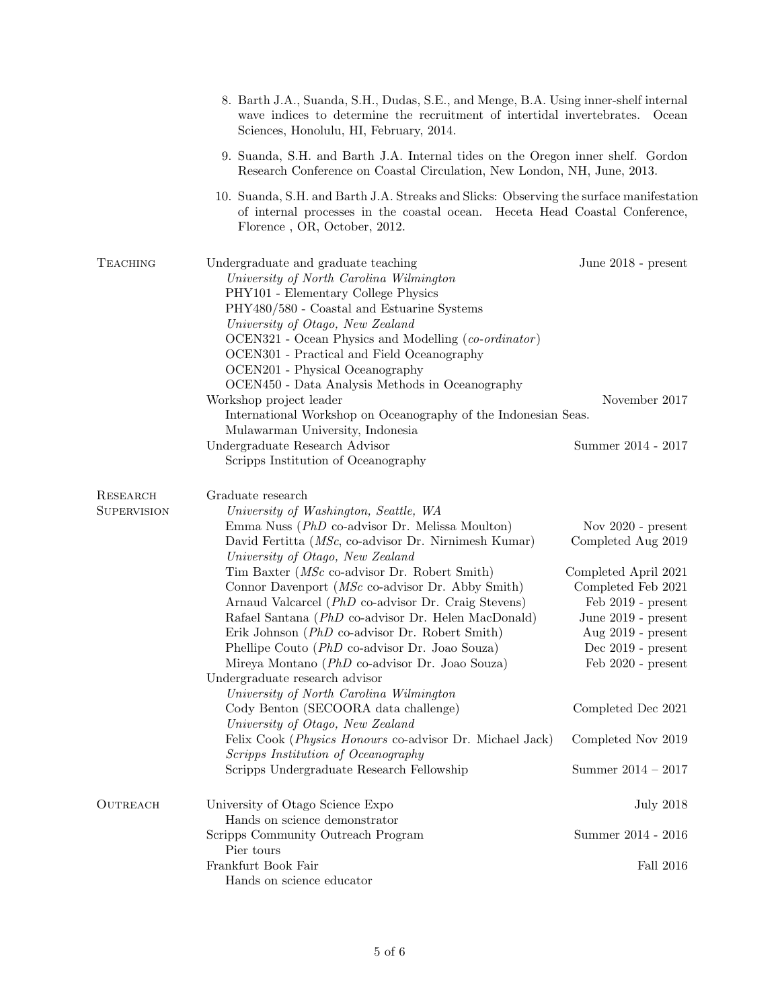|                                       | 8. Barth J.A., Suanda, S.H., Dudas, S.E., and Menge, B.A. Using inner-shelf internal<br>wave indices to determine the recruitment of intertidal invertebrates.<br>Sciences, Honolulu, HI, February, 2014.                                                                                                                                                                                                                                                                                                                                                                                                                                                                                                                                                                                                                                                                                                    | Ocean                                                                                                                                                                                                                                                                                     |
|---------------------------------------|--------------------------------------------------------------------------------------------------------------------------------------------------------------------------------------------------------------------------------------------------------------------------------------------------------------------------------------------------------------------------------------------------------------------------------------------------------------------------------------------------------------------------------------------------------------------------------------------------------------------------------------------------------------------------------------------------------------------------------------------------------------------------------------------------------------------------------------------------------------------------------------------------------------|-------------------------------------------------------------------------------------------------------------------------------------------------------------------------------------------------------------------------------------------------------------------------------------------|
|                                       | 9. Suanda, S.H. and Barth J.A. Internal tides on the Oregon inner shelf. Gordon<br>Research Conference on Coastal Circulation, New London, NH, June, 2013.                                                                                                                                                                                                                                                                                                                                                                                                                                                                                                                                                                                                                                                                                                                                                   |                                                                                                                                                                                                                                                                                           |
|                                       | 10. Suanda, S.H. and Barth J.A. Streaks and Slicks: Observing the surface manifestation<br>of internal processes in the coastal ocean. Heceta Head Coastal Conference,<br>Florence, OR, October, 2012.                                                                                                                                                                                                                                                                                                                                                                                                                                                                                                                                                                                                                                                                                                       |                                                                                                                                                                                                                                                                                           |
| <b>TEACHING</b>                       | Undergraduate and graduate teaching<br>University of North Carolina Wilmington<br>PHY101 - Elementary College Physics<br>PHY480/580 - Coastal and Estuarine Systems<br>University of Otago, New Zealand<br>OCEN321 - Ocean Physics and Modelling (co-ordinator)<br>OCEN301 - Practical and Field Oceanography<br>OCEN201 - Physical Oceanography<br>OCEN450 - Data Analysis Methods in Oceanography<br>Workshop project leader<br>International Workshop on Oceanography of the Indonesian Seas.<br>Mulawarman University, Indonesia                                                                                                                                                                                                                                                                                                                                                                         | June 2018 - present<br>November 2017                                                                                                                                                                                                                                                      |
|                                       | Undergraduate Research Advisor<br>Scripps Institution of Oceanography                                                                                                                                                                                                                                                                                                                                                                                                                                                                                                                                                                                                                                                                                                                                                                                                                                        | Summer 2014 - 2017                                                                                                                                                                                                                                                                        |
| <b>RESEARCH</b><br><b>SUPERVISION</b> | Graduate research<br>University of Washington, Seattle, WA<br>Emma Nuss (PhD co-advisor Dr. Melissa Moulton)<br>David Fertitta (MSc, co-advisor Dr. Nirnimesh Kumar)<br>University of Otago, New Zealand<br>Tim Baxter ( <i>MSc</i> co-advisor Dr. Robert Smith)<br>Connor Davenport ( $MSc$ co-advisor Dr. Abby Smith)<br>Arnaud Valcarcel (PhD co-advisor Dr. Craig Stevens)<br>Rafael Santana (PhD co-advisor Dr. Helen MacDonald)<br>Erik Johnson (PhD co-advisor Dr. Robert Smith)<br>Phellipe Couto ( <i>PhD</i> co-advisor Dr. Joao Souza)<br>Mireya Montano (PhD co-advisor Dr. Joao Souza)<br>Undergraduate research advisor<br>University of North Carolina Wilmington<br>Cody Benton (SECOORA data challenge)<br>University of Otago, New Zealand<br>Felix Cook (Physics Honours co-advisor Dr. Michael Jack)<br>Scripps Institution of Oceanography<br>Scripps Undergraduate Research Fellowship | Nov $2020$ - present<br>Completed Aug 2019<br>Completed April 2021<br>Completed Feb 2021<br>$\text{Feb } 2019$ - present<br>June 2019 - present<br>Aug $2019$ - present<br>Dec $2019$ - present<br>Feb 2020 - present<br>Completed Dec 2021<br>Completed Nov 2019<br>Summer $2014 - 2017$ |
| <b>OUTREACH</b>                       | University of Otago Science Expo<br>Hands on science demonstrator                                                                                                                                                                                                                                                                                                                                                                                                                                                                                                                                                                                                                                                                                                                                                                                                                                            | <b>July 2018</b>                                                                                                                                                                                                                                                                          |
|                                       | Scripps Community Outreach Program<br>Pier tours                                                                                                                                                                                                                                                                                                                                                                                                                                                                                                                                                                                                                                                                                                                                                                                                                                                             | Summer 2014 - 2016                                                                                                                                                                                                                                                                        |
|                                       | Frankfurt Book Fair<br>Hands on science educator                                                                                                                                                                                                                                                                                                                                                                                                                                                                                                                                                                                                                                                                                                                                                                                                                                                             | Fall 2016                                                                                                                                                                                                                                                                                 |